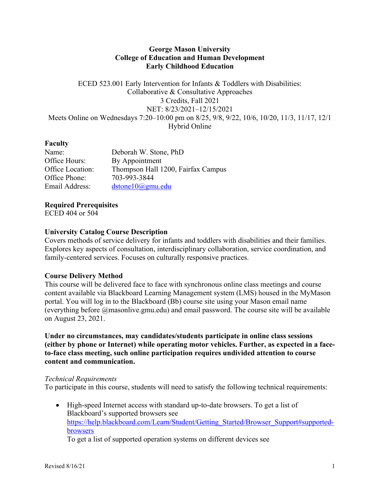### **George Mason University College of Education and Human Development Early Childhood Education**

ECED 523.001 Early Intervention for Infants & Toddlers with Disabilities: Collaborative & Consultative Approaches 3 Credits, Fall 2021 NET: 8/23/2021–12/15/2021 Meets Online on Wednesdays 7:20–10:00 pm on 8/25, 9/8, 9/22, 10/6, 10/20, 11/3, 11/17, 12/1 Hybrid Online

### **Faculty**

| Name:            | Deborah W. Stone, PhD              |
|------------------|------------------------------------|
| Office Hours:    | By Appointment                     |
| Office Location: | Thompson Hall 1200, Fairfax Campus |
| Office Phone:    | 703-993-3844                       |
| Email Address:   | dstone10@gmu.edu                   |

**Required Prerequisites** ECED 404 or 504

### **University Catalog Course Description**

Covers methods of service delivery for infants and toddlers with disabilities and their families. Explores key aspects of consultation, interdisciplinary collaboration, service coordination, and family-centered services. Focuses on culturally responsive practices.

## **Course Delivery Method**

This course will be delivered face to face with synchronous online class meetings and course content available via Blackboard Learning Management system (LMS) housed in the MyMason portal. You will log in to the Blackboard (Bb) course site using your Mason email name (everything before @masonlive.gmu.edu) and email password. The course site will be available on August 23, 2021.

**Under no circumstances, may candidates/students participate in online class sessions (either by phone or Internet) while operating motor vehicles. Further, as expected in a faceto-face class meeting, such online participation requires undivided attention to course content and communication.**

#### *Technical Requirements*

To participate in this course, students will need to satisfy the following technical requirements:

• High-speed Internet access with standard up-to-date browsers. To get a list of Blackboard's supported browsers see https://help.blackboard.com/Learn/Student/Getting\_Started/Browser\_Support#supportedbrowsers

To get a list of supported operation systems on different devices see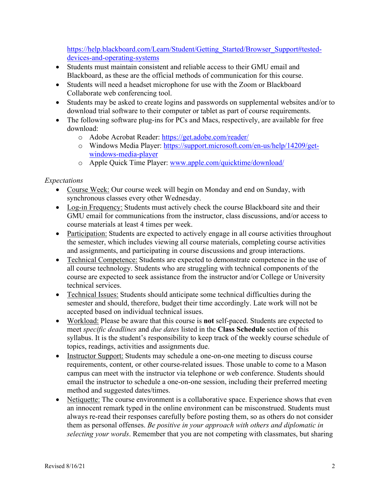https://help.blackboard.com/Learn/Student/Getting\_Started/Browser\_Support#testeddevices-and-operating-systems

- Students must maintain consistent and reliable access to their GMU email and Blackboard, as these are the official methods of communication for this course.
- Students will need a headset microphone for use with the Zoom or Blackboard Collaborate web conferencing tool.
- Students may be asked to create logins and passwords on supplemental websites and/or to download trial software to their computer or tablet as part of course requirements.
- The following software plug-ins for PCs and Macs, respectively, are available for free download:
	- o Adobe Acrobat Reader: https://get.adobe.com/reader/
	- o Windows Media Player: https://support.microsoft.com/en-us/help/14209/getwindows-media-player
	- o Apple Quick Time Player: www.apple.com/quicktime/download/

## *Expectations*

- Course Week: Our course week will begin on Monday and end on Sunday, with synchronous classes every other Wednesday.
- Log-in Frequency: Students must actively check the course Blackboard site and their GMU email for communications from the instructor, class discussions, and/or access to course materials at least 4 times per week.
- Participation: Students are expected to actively engage in all course activities throughout the semester, which includes viewing all course materials, completing course activities and assignments, and participating in course discussions and group interactions.
- Technical Competence: Students are expected to demonstrate competence in the use of all course technology. Students who are struggling with technical components of the course are expected to seek assistance from the instructor and/or College or University technical services.
- Technical Issues: Students should anticipate some technical difficulties during the semester and should, therefore, budget their time accordingly. Late work will not be accepted based on individual technical issues.
- Workload: Please be aware that this course is **not** self-paced. Students are expected to meet *specific deadlines* and *due dates* listed in the **Class Schedule** section of this syllabus. It is the student's responsibility to keep track of the weekly course schedule of topics, readings, activities and assignments due.
- Instructor Support: Students may schedule a one-on-one meeting to discuss course requirements, content, or other course-related issues. Those unable to come to a Mason campus can meet with the instructor via telephone or web conference. Students should email the instructor to schedule a one-on-one session, including their preferred meeting method and suggested dates/times.
- Netiquette: The course environment is a collaborative space. Experience shows that even an innocent remark typed in the online environment can be misconstrued. Students must always re-read their responses carefully before posting them, so as others do not consider them as personal offenses. *Be positive in your approach with others and diplomatic in selecting your words*. Remember that you are not competing with classmates, but sharing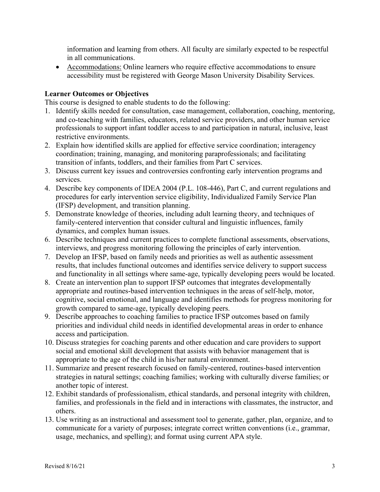information and learning from others. All faculty are similarly expected to be respectful in all communications.

• Accommodations: Online learners who require effective accommodations to ensure accessibility must be registered with George Mason University Disability Services.

## **Learner Outcomes or Objectives**

This course is designed to enable students to do the following:

- 1. Identify skills needed for consultation, case management, collaboration, coaching, mentoring, and co-teaching with families, educators, related service providers, and other human service professionals to support infant toddler access to and participation in natural, inclusive, least restrictive environments.
- 2. Explain how identified skills are applied for effective service coordination; interagency coordination; training, managing, and monitoring paraprofessionals; and facilitating transition of infants, toddlers, and their families from Part C services.
- 3. Discuss current key issues and controversies confronting early intervention programs and services.
- 4. Describe key components of IDEA 2004 (P.L. 108-446), Part C, and current regulations and procedures for early intervention service eligibility, Individualized Family Service Plan (IFSP) development, and transition planning.
- 5. Demonstrate knowledge of theories, including adult learning theory, and techniques of family-centered intervention that consider cultural and linguistic influences, family dynamics, and complex human issues.
- 6. Describe techniques and current practices to complete functional assessments, observations, interviews, and progress monitoring following the principles of early intervention.
- 7. Develop an IFSP, based on family needs and priorities as well as authentic assessment results, that includes functional outcomes and identifies service delivery to support success and functionality in all settings where same-age, typically developing peers would be located.
- 8. Create an intervention plan to support IFSP outcomes that integrates developmentally appropriate and routines-based intervention techniques in the areas of self-help, motor, cognitive, social emotional, and language and identifies methods for progress monitoring for growth compared to same-age, typically developing peers.
- 9. Describe approaches to coaching families to practice IFSP outcomes based on family priorities and individual child needs in identified developmental areas in order to enhance access and participation.
- 10. Discuss strategies for coaching parents and other education and care providers to support social and emotional skill development that assists with behavior management that is appropriate to the age of the child in his/her natural environment.
- 11. Summarize and present research focused on family-centered, routines-based intervention strategies in natural settings; coaching families; working with culturally diverse families; or another topic of interest.
- 12. Exhibit standards of professionalism, ethical standards, and personal integrity with children, families, and professionals in the field and in interactions with classmates, the instructor, and others.
- 13. Use writing as an instructional and assessment tool to generate, gather, plan, organize, and to communicate for a variety of purposes; integrate correct written conventions (i.e., grammar, usage, mechanics, and spelling); and format using current APA style.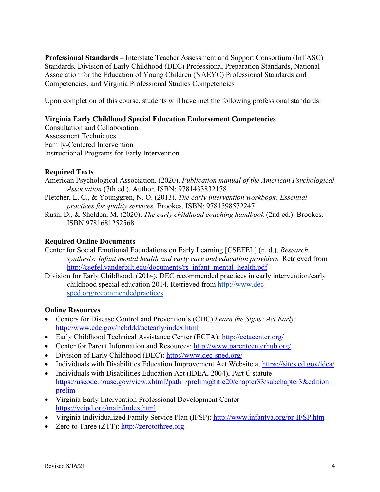**Professional Standards –** Interstate Teacher Assessment and Support Consortium (InTASC) Standards, Division of Early Childhood (DEC) Professional Preparation Standards, National Association for the Education of Young Children (NAEYC) Professional Standards and Competencies, and Virginia Professional Studies Competencies

Upon completion of this course, students will have met the following professional standards:

### **Virginia Early Childhood Special Education Endorsement Competencies**

Consultation and Collaboration Assessment Techniques Family-Centered Intervention Instructional Programs for Early Intervention

### **Required Texts**

- American Psychological Association. (2020). *Publication manual of the American Psychological Association* (7th ed.). Author. ISBN: 9781433832178
- Pletcher, L. C., & Younggren, N. O. (2013). *The early intervention workbook: Essential practices for quality services.* Brookes. ISBN: 9781598572247
- Rush, D., & Shelden, M. (2020). *The early childhood coaching handbook* (2nd ed.). Brookes. ISBN 9781681252568

### **Required Online Documents**

Center for Social Emotional Foundations on Early Learning [CSEFEL] (n. d.). *Research synthesis: Infant mental health and early care and education providers.* Retrieved from http://csefel.vanderbilt.edu/documents/rs\_infant\_mental\_health.pdf

Division for Early Childhood. (2014). DEC recommended practices in early intervention/early childhood special education 2014. Retrieved from http://www.decsped.org/recommendedpractices

#### **Online Resources**

- Centers for Disease Control and Prevention's (CDC) *Learn the Signs: Act Early*: http://www.cdc.gov/ncbddd/actearly/index.html
- Early Childhood Technical Assistance Center (ECTA): http://ectacenter.org/
- Center for Parent Information and Resources: http://www.parentcenterhub.org/
- Division of Early Childhood (DEC): http://www.dec-sped.org/
- Individuals with Disabilities Education Improvement Act Website at https://sites.ed.gov/idea/
- Individuals with Disabilities Education Act (IDEA, 2004), Part C statute https://uscode.house.gov/view.xhtml?path=/prelim@title20/chapter33/subchapter3&edition= prelim
- Virginia Early Intervention Professional Development Center https://veipd.org/main/index.html
- Virginia Individualized Family Service Plan (IFSP): http://www.infantva.org/pr-IFSP.htm
- Zero to Three (ZTT): http://zerotothree.org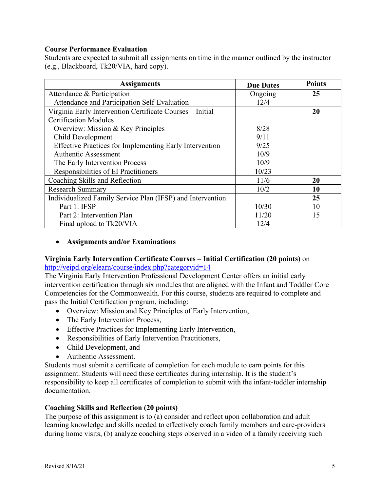#### **Course Performance Evaluation**

Students are expected to submit all assignments on time in the manner outlined by the instructor (e.g., Blackboard, Tk20/VIA, hard copy).

| <b>Assignments</b>                                             | <b>Due Dates</b> | <b>Points</b> |
|----------------------------------------------------------------|------------------|---------------|
| Attendance & Participation                                     | Ongoing          | 25            |
| Attendance and Participation Self-Evaluation                   | 12/4             |               |
| Virginia Early Intervention Certificate Courses - Initial      |                  | 20            |
| <b>Certification Modules</b>                                   |                  |               |
| Overview: Mission & Key Principles                             | 8/28             |               |
| Child Development                                              | 9/11             |               |
| <b>Effective Practices for Implementing Early Intervention</b> | 9/25             |               |
| Authentic Assessment                                           | 10/9             |               |
| The Early Intervention Process                                 | 10/9             |               |
| Responsibilities of EI Practitioners                           | 10/23            |               |
| Coaching Skills and Reflection                                 | 11/6             | 20            |
| <b>Research Summary</b>                                        | 10/2             | 10            |
| Individualized Family Service Plan (IFSP) and Intervention     |                  | 25            |
| Part 1: IFSP                                                   | 10/30            | 10            |
| Part 2: Intervention Plan                                      | 11/20            | 15            |
| Final upload to Tk20/VIA                                       | 12/4             |               |

### • **Assignments and/or Examinations**

### **Virginia Early Intervention Certificate Courses – Initial Certification (20 points)** on http://veipd.org/elearn/course/index.php?categoryid=14

The Virginia Early Intervention Professional Development Center offers an initial early intervention certification through six modules that are aligned with the Infant and Toddler Core Competencies for the Commonwealth. For this course, students are required to complete and pass the Initial Certification program, including:

- Overview: Mission and Key Principles of Early Intervention,
- The Early Intervention Process,
- Effective Practices for Implementing Early Intervention,
- Responsibilities of Early Intervention Practitioners,
- Child Development, and
- Authentic Assessment.

Students must submit a certificate of completion for each module to earn points for this assignment. Students will need these certificates during internship. It is the student's responsibility to keep all certificates of completion to submit with the infant-toddler internship documentation.

#### **Coaching Skills and Reflection (20 points)**

The purpose of this assignment is to (a) consider and reflect upon collaboration and adult learning knowledge and skills needed to effectively coach family members and care-providers during home visits, (b) analyze coaching steps observed in a video of a family receiving such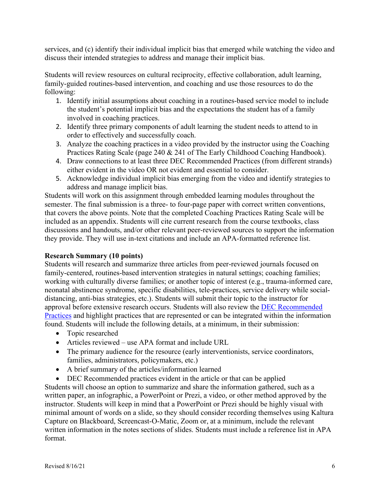services, and (c) identify their individual implicit bias that emerged while watching the video and discuss their intended strategies to address and manage their implicit bias.

Students will review resources on cultural reciprocity, effective collaboration, adult learning, family-guided routines-based intervention, and coaching and use those resources to do the following:

- 1. Identify initial assumptions about coaching in a routines-based service model to include the student's potential implicit bias and the expectations the student has of a family involved in coaching practices.
- 2. Identify three primary components of adult learning the student needs to attend to in order to effectively and successfully coach.
- 3. Analyze the coaching practices in a video provided by the instructor using the Coaching Practices Rating Scale (page 240 & 241 of The Early Childhood Coaching Handbook).
- 4. Draw connections to at least three DEC Recommended Practices (from different strands) either evident in the video OR not evident and essential to consider.
- 5. Acknowledge individual implicit bias emerging from the video and identify strategies to address and manage implicit bias.

Students will work on this assignment through embedded learning modules throughout the semester. The final submission is a three- to four-page paper with correct written conventions, that covers the above points. Note that the completed Coaching Practices Rating Scale will be included as an appendix. Students will cite current research from the course textbooks, class discussions and handouts, and/or other relevant peer-reviewed sources to support the information they provide. They will use in-text citations and include an APA-formatted reference list.

## **Research Summary (10 points)**

Students will research and summarize three articles from peer-reviewed journals focused on family-centered, routines-based intervention strategies in natural settings; coaching families; working with culturally diverse families; or another topic of interest (e.g., trauma-informed care, neonatal abstinence syndrome, specific disabilities, tele-practices, service delivery while socialdistancing, anti-bias strategies, etc.). Students will submit their topic to the instructor for approval before extensive research occurs. Students will also review the **DEC** Recommended Practices and highlight practices that are represented or can be integrated within the information found. Students will include the following details, at a minimum, in their submission:

- Topic researched
- Articles reviewed use APA format and include URL
- The primary audience for the resource (early interventionists, service coordinators, families, administrators, policymakers, etc.)
- A brief summary of the articles/information learned
- DEC Recommended practices evident in the article or that can be applied

Students will choose an option to summarize and share the information gathered, such as a written paper, an infographic, a PowerPoint or Prezi, a video, or other method approved by the instructor. Students will keep in mind that a PowerPoint or Prezi should be highly visual with minimal amount of words on a slide, so they should consider recording themselves using Kaltura Capture on Blackboard, Screencast-O-Matic, Zoom or, at a minimum, include the relevant written information in the notes sections of slides. Students must include a reference list in APA format.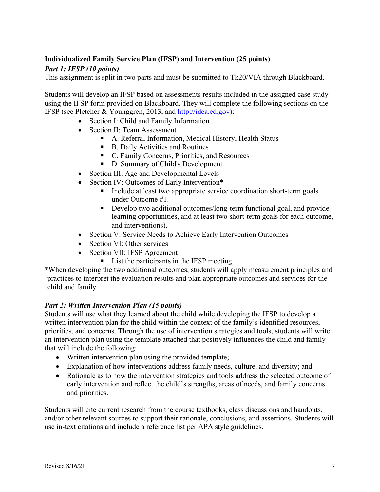# **Individualized Family Service Plan (IFSP) and Intervention (25 points)**

## *Part 1: IFSP (10 points)*

This assignment is split in two parts and must be submitted to Tk20/VIA through Blackboard.

Students will develop an IFSP based on assessments results included in the assigned case study using the IFSP form provided on Blackboard. They will complete the following sections on the IFSP (see Pletcher & Younggren, 2013, and http://idea.ed.gov):

- Section I: Child and Family Information
- Section II: Team Assessment
	- A. Referral Information, Medical History, Health Status
	- B. Daily Activities and Routines
	- C. Family Concerns, Priorities, and Resources
	- D. Summary of Child's Development
- Section III: Age and Developmental Levels
- Section IV: Outcomes of Early Intervention\*
	- Include at least two appropriate service coordination short-term goals under Outcome #1.
	- Develop two additional outcomes/long-term functional goal, and provide learning opportunities, and at least two short-term goals for each outcome, and interventions).
- Section V: Service Needs to Achieve Early Intervention Outcomes
- Section VI: Other services
- Section VII: IFSP Agreement
	- List the participants in the IFSP meeting

\*When developing the two additional outcomes, students will apply measurement principles and practices to interpret the evaluation results and plan appropriate outcomes and services for the child and family.

## *Part 2: Written Intervention Plan (15 points)*

Students will use what they learned about the child while developing the IFSP to develop a written intervention plan for the child within the context of the family's identified resources, priorities, and concerns. Through the use of intervention strategies and tools, students will write an intervention plan using the template attached that positively influences the child and family that will include the following:

- Written intervention plan using the provided template;
- Explanation of how interventions address family needs, culture, and diversity; and
- Rationale as to how the intervention strategies and tools address the selected outcome of early intervention and reflect the child's strengths, areas of needs, and family concerns and priorities.

Students will cite current research from the course textbooks, class discussions and handouts, and/or other relevant sources to support their rationale, conclusions, and assertions. Students will use in-text citations and include a reference list per APA style guidelines.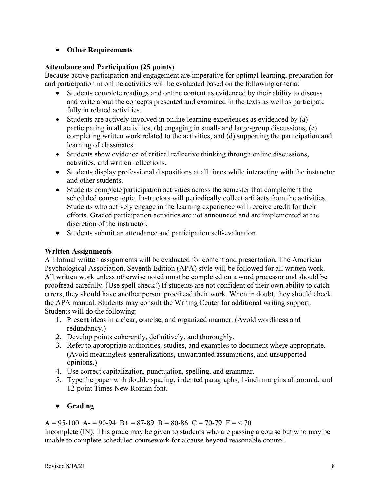## • **Other Requirements**

## **Attendance and Participation (25 points)**

Because active participation and engagement are imperative for optimal learning, preparation for and participation in online activities will be evaluated based on the following criteria:

- Students complete readings and online content as evidenced by their ability to discuss and write about the concepts presented and examined in the texts as well as participate fully in related activities.
- Students are actively involved in online learning experiences as evidenced by (a) participating in all activities, (b) engaging in small- and large-group discussions, (c) completing written work related to the activities, and (d) supporting the participation and learning of classmates.
- Students show evidence of critical reflective thinking through online discussions, activities, and written reflections.
- Students display professional dispositions at all times while interacting with the instructor and other students.
- Students complete participation activities across the semester that complement the scheduled course topic. Instructors will periodically collect artifacts from the activities. Students who actively engage in the learning experience will receive credit for their efforts. Graded participation activities are not announced and are implemented at the discretion of the instructor.
- Students submit an attendance and participation self-evaluation.

# **Written Assignments**

All formal written assignments will be evaluated for content and presentation. The American Psychological Association, Seventh Edition (APA) style will be followed for all written work. All written work unless otherwise noted must be completed on a word processor and should be proofread carefully. (Use spell check!) If students are not confident of their own ability to catch errors, they should have another person proofread their work. When in doubt, they should check the APA manual. Students may consult the Writing Center for additional writing support. Students will do the following:

- 1. Present ideas in a clear, concise, and organized manner. (Avoid wordiness and redundancy.)
- 2. Develop points coherently, definitively, and thoroughly.
- 3. Refer to appropriate authorities, studies, and examples to document where appropriate. (Avoid meaningless generalizations, unwarranted assumptions, and unsupported opinions.)
- 4. Use correct capitalization, punctuation, spelling, and grammar.
- 5. Type the paper with double spacing, indented paragraphs, 1-inch margins all around, and 12-point Times New Roman font.

# • **Grading**

 $A = 95-100$   $A = 90-94$   $B = 87-89$   $B = 80-86$   $C = 70-79$   $F = 70$ 

Incomplete (IN): This grade may be given to students who are passing a course but who may be unable to complete scheduled coursework for a cause beyond reasonable control.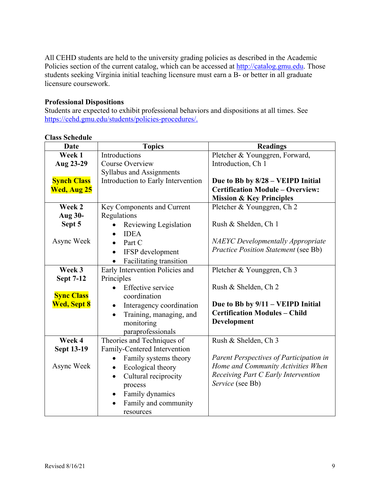All CEHD students are held to the university grading policies as described in the Academic Policies section of the current catalog, which can be accessed at http://catalog.gmu.edu. Those students seeking Virginia initial teaching licensure must earn a B- or better in all graduate licensure coursework.

### **Professional Dispositions**

Students are expected to exhibit professional behaviors and dispositions at all times. See https://cehd.gmu.edu/students/policies-procedures/.

| <b>Date</b>        | <b>Topics</b>                         | <b>Readings</b>                             |  |
|--------------------|---------------------------------------|---------------------------------------------|--|
| Week 1             | Introductions                         | Pletcher & Younggren, Forward,              |  |
| Aug 23-29          | <b>Course Overview</b>                | Introduction, Ch 1                          |  |
|                    | <b>Syllabus and Assignments</b>       |                                             |  |
| <b>Synch Class</b> | Introduction to Early Intervention    | Due to Bb by 8/28 - VEIPD Initial           |  |
| <b>Wed, Aug 25</b> |                                       | <b>Certification Module - Overview:</b>     |  |
|                    |                                       | <b>Mission &amp; Key Principles</b>         |  |
| Week 2             | Key Components and Current            | Pletcher & Younggren, Ch 2                  |  |
| Aug 30-            | Regulations                           |                                             |  |
| Sept 5             | Reviewing Legislation                 | Rush & Shelden, Ch 1                        |  |
|                    | <b>IDEA</b>                           |                                             |  |
| Async Week         | Part C<br>$\bullet$                   | <b>NAEYC</b> Developmentally Appropriate    |  |
|                    | IFSP development<br>$\bullet$         | <b>Practice Position Statement (see Bb)</b> |  |
|                    | Facilitating transition<br>$\bullet$  |                                             |  |
| Week 3             | Early Intervention Policies and       | Pletcher & Younggren, Ch 3                  |  |
| <b>Sept 7-12</b>   | Principles                            |                                             |  |
|                    | Effective service                     | Rush & Shelden, Ch 2                        |  |
| <b>Sync Class</b>  | coordination                          |                                             |  |
| <b>Wed, Sept 8</b> | Interagency coordination<br>$\bullet$ | Due to Bb by 9/11 – VEIPD Initial           |  |
|                    | Training, managing, and               | <b>Certification Modules - Child</b>        |  |
|                    | monitoring                            | Development                                 |  |
|                    | paraprofessionals                     |                                             |  |
| Week 4             | Theories and Techniques of            | Rush & Shelden, Ch 3                        |  |
| <b>Sept 13-19</b>  | Family-Centered Intervention          |                                             |  |
|                    | Family systems theory                 | Parent Perspectives of Participation in     |  |
| Async Week         | Ecological theory                     | Home and Community Activities When          |  |
|                    | Cultural reciprocity<br>$\bullet$     | Receiving Part C Early Intervention         |  |
|                    | process                               | Service (see Bb)                            |  |
|                    | Family dynamics<br>$\bullet$          |                                             |  |
|                    | Family and community                  |                                             |  |
|                    | resources                             |                                             |  |

#### **Class Schedule**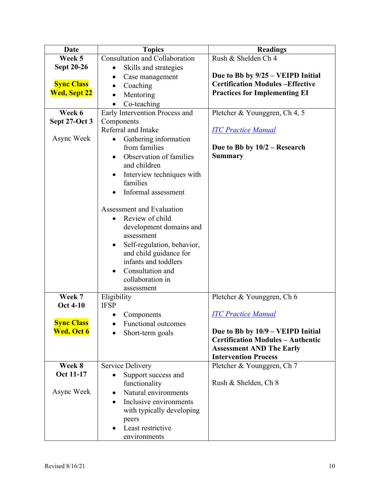| Date                | <b>Topics</b>                           | <b>Readings</b>                          |  |
|---------------------|-----------------------------------------|------------------------------------------|--|
| Week 5              | <b>Consultation and Collaboration</b>   | Rush & Shelden Ch 4                      |  |
| <b>Sept 20-26</b>   | Skills and strategies                   |                                          |  |
|                     | Case management                         | Due to Bb by 9/25 – VEIPD Initial        |  |
| <b>Sync Class</b>   | Coaching                                | <b>Certification Modules-Effective</b>   |  |
| <b>Wed, Sept 22</b> | Mentoring                               | <b>Practices for Implementing EI</b>     |  |
|                     | Co-teaching                             |                                          |  |
| Week 6              | Early Intervention Process and          | Pletcher & Younggren, Ch 4, 5            |  |
| Sept 27-Oct 3       | Components                              |                                          |  |
|                     | Referral and Intake                     | <b>ITC Practice Manual</b>               |  |
| Async Week          | Gathering information                   |                                          |  |
|                     | from families                           | Due to Bb by $10/2$ – Research           |  |
|                     | Observation of families                 | <b>Summary</b>                           |  |
|                     | and children                            |                                          |  |
|                     | Interview techniques with               |                                          |  |
|                     | families                                |                                          |  |
|                     | Informal assessment                     |                                          |  |
|                     | Assessment and Evaluation               |                                          |  |
|                     | Review of child                         |                                          |  |
|                     |                                         |                                          |  |
|                     | development domains and<br>assessment   |                                          |  |
|                     | Self-regulation, behavior,<br>$\bullet$ |                                          |  |
|                     | and child guidance for                  |                                          |  |
|                     | infants and toddlers                    |                                          |  |
|                     | Consultation and                        |                                          |  |
|                     | collaboration in                        |                                          |  |
|                     | assessment                              |                                          |  |
| Week 7              | Eligibility                             | Pletcher & Younggren, Ch 6               |  |
| <b>Oct 4-10</b>     | <b>IFSP</b>                             |                                          |  |
|                     | Components                              | <b>ITC Practice Manual</b>               |  |
| <b>Sync Class</b>   | Functional outcomes                     |                                          |  |
| <b>Wed, Oct 6</b>   | Short-term goals                        | Due to Bb by 10/9 - VEIPD Initial        |  |
|                     |                                         | <b>Certification Modules - Authentic</b> |  |
|                     |                                         | <b>Assessment AND The Early</b>          |  |
|                     |                                         | <b>Intervention Process</b>              |  |
| Week 8              | <b>Service Delivery</b>                 | Pletcher & Younggren, Ch 7               |  |
| Oct 11-17           | Support success and                     |                                          |  |
| Async Week          | functionality                           | Rush & Shelden, Ch 8                     |  |
|                     | Natural environments                    |                                          |  |
|                     | Inclusive environments                  |                                          |  |
|                     | with typically developing               |                                          |  |
|                     | peers<br>Least restrictive              |                                          |  |
|                     | environments                            |                                          |  |
|                     |                                         |                                          |  |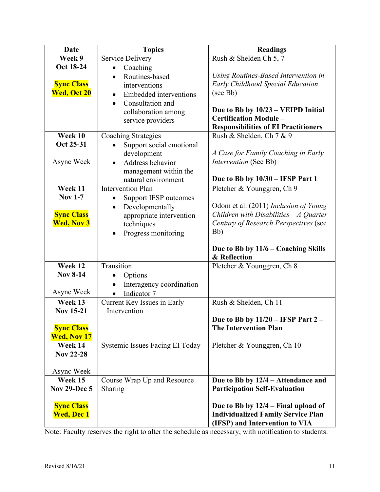| Date                                                        | <b>Topics</b>                                                                                                                                                                                    | <b>Readings</b>                                                                                                                                                                                                    |  |
|-------------------------------------------------------------|--------------------------------------------------------------------------------------------------------------------------------------------------------------------------------------------------|--------------------------------------------------------------------------------------------------------------------------------------------------------------------------------------------------------------------|--|
| Week 9                                                      | <b>Service Delivery</b>                                                                                                                                                                          | Rush & Shelden Ch 5, 7                                                                                                                                                                                             |  |
| Oct 18-24<br><b>Sync Class</b><br>Wed, Oct 20               | Coaching<br>$\bullet$<br>Routines-based<br>$\bullet$<br>interventions<br><b>Embedded</b> interventions<br>$\bullet$<br>Consultation and<br>$\bullet$<br>collaboration among<br>service providers | Using Routines-Based Intervention in<br><b>Early Childhood Special Education</b><br>(see Bb)<br>Due to Bb by 10/23 - VEIPD Initial<br><b>Certification Module -</b><br><b>Responsibilities of EI Practitioners</b> |  |
| Week 10                                                     | <b>Coaching Strategies</b>                                                                                                                                                                       | Rush & Shelden, Ch 7 & 9                                                                                                                                                                                           |  |
| Oct 25-31                                                   | Support social emotional                                                                                                                                                                         |                                                                                                                                                                                                                    |  |
| Async Week                                                  | development<br>Address behavior<br>management within the<br>natural environment                                                                                                                  | A Case for Family Coaching in Early<br>Intervention (See Bb)<br>Due to Bb by 10/30 - IFSP Part 1                                                                                                                   |  |
| Week 11                                                     | <b>Intervention Plan</b>                                                                                                                                                                         | Pletcher & Younggren, Ch 9                                                                                                                                                                                         |  |
| <b>Nov 1-7</b>                                              | <b>Support IFSP outcomes</b><br>$\bullet$                                                                                                                                                        |                                                                                                                                                                                                                    |  |
| <b>Sync Class</b><br><b>Wed, Nov 3</b>                      | Developmentally<br>$\bullet$<br>appropriate intervention<br>techniques<br>Progress monitoring                                                                                                    | Odom et al. (2011) Inclusion of Young<br>Children with Disabilities $-A$ Quarter<br>Century of Research Perspectives (see<br>Bb)                                                                                   |  |
|                                                             |                                                                                                                                                                                                  | Due to Bb by 11/6 – Coaching Skills<br>& Reflection                                                                                                                                                                |  |
| Week 12                                                     | Transition                                                                                                                                                                                       | Pletcher & Younggren, Ch 8                                                                                                                                                                                         |  |
| <b>Nov 8-14</b>                                             | Options<br>$\bullet$                                                                                                                                                                             |                                                                                                                                                                                                                    |  |
| Async Week                                                  | Interagency coordination<br>Indicator 7                                                                                                                                                          |                                                                                                                                                                                                                    |  |
| Week 13                                                     | Current Key Issues in Early                                                                                                                                                                      | Rush & Shelden, Ch 11                                                                                                                                                                                              |  |
| <b>Nov 15-21</b><br><b>Sync Class</b><br><b>Wed, Nov 17</b> | Intervention                                                                                                                                                                                     | Due to Bb by $11/20$ – IFSP Part 2 –<br><b>The Intervention Plan</b>                                                                                                                                               |  |
| Week 14                                                     | Systemic Issues Facing EI Today                                                                                                                                                                  | Pletcher & Younggren, Ch 10                                                                                                                                                                                        |  |
| <b>Nov 22-28</b>                                            |                                                                                                                                                                                                  |                                                                                                                                                                                                                    |  |
| Async Week                                                  |                                                                                                                                                                                                  |                                                                                                                                                                                                                    |  |
| Week 15                                                     | Course Wrap Up and Resource                                                                                                                                                                      | Due to Bb by 12/4 – Attendance and                                                                                                                                                                                 |  |
| <b>Nov 29-Dec 5</b>                                         | Sharing                                                                                                                                                                                          | <b>Participation Self-Evaluation</b>                                                                                                                                                                               |  |
| <b>Sync Class</b><br><b>Wed, Dec 1</b>                      |                                                                                                                                                                                                  | Due to Bb by $12/4$ – Final upload of<br><b>Individualized Family Service Plan</b><br>(IFSP) and Intervention to VIA                                                                                               |  |

Note: Faculty reserves the right to alter the schedule as necessary, with notification to students.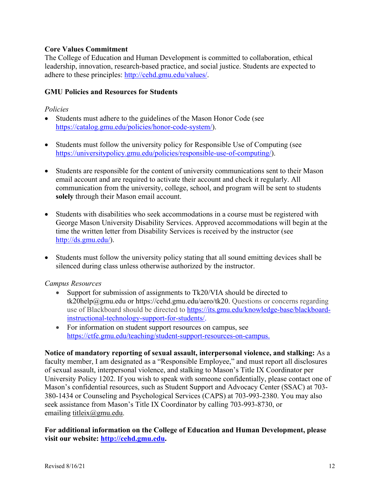## **Core Values Commitment**

The College of Education and Human Development is committed to collaboration, ethical leadership, innovation, research-based practice, and social justice. Students are expected to adhere to these principles: http://cehd.gmu.edu/values/.

#### **GMU Policies and Resources for Students**

#### *Policies*

- Students must adhere to the guidelines of the Mason Honor Code (see https://catalog.gmu.edu/policies/honor-code-system/).
- Students must follow the university policy for Responsible Use of Computing (see https://universitypolicy.gmu.edu/policies/responsible-use-of-computing/).
- Students are responsible for the content of university communications sent to their Mason email account and are required to activate their account and check it regularly. All communication from the university, college, school, and program will be sent to students **solely** through their Mason email account.
- Students with disabilities who seek accommodations in a course must be registered with George Mason University Disability Services. Approved accommodations will begin at the time the written letter from Disability Services is received by the instructor (see http://ds.gmu.edu/).
- Students must follow the university policy stating that all sound emitting devices shall be silenced during class unless otherwise authorized by the instructor.

#### *Campus Resources*

- Support for submission of assignments to Tk20/VIA should be directed to tk20help@gmu.edu or https://cehd.gmu.edu/aero/tk20. Questions or concerns regarding use of Blackboard should be directed to https://its.gmu.edu/knowledge-base/blackboardinstructional-technology-support-for-students/.
- For information on student support resources on campus, see https://ctfe.gmu.edu/teaching/student-support-resources-on-campus.

**Notice of mandatory reporting of sexual assault, interpersonal violence, and stalking:** As a faculty member, I am designated as a "Responsible Employee," and must report all disclosures of sexual assault, interpersonal violence, and stalking to Mason's Title IX Coordinator per University Policy 1202. If you wish to speak with someone confidentially, please contact one of Mason's confidential resources, such as Student Support and Advocacy Center (SSAC) at 703- 380-1434 or Counseling and Psychological Services (CAPS) at 703-993-2380. You may also seek assistance from Mason's Title IX Coordinator by calling 703-993-8730, or emailing titleix@gmu.edu.

## **For additional information on the College of Education and Human Development, please visit our website: http://cehd.gmu.edu.**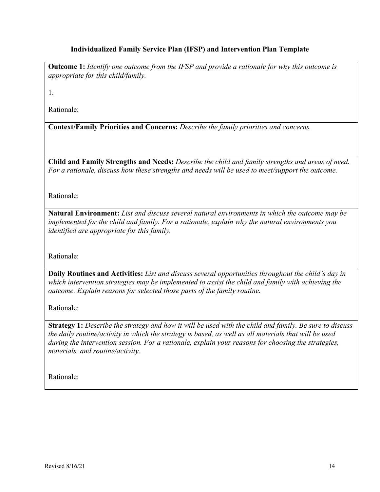## **Individualized Family Service Plan (IFSP) and Intervention Plan Template**

**Outcome 1:** *Identify one outcome from the IFSP and provide a rationale for why this outcome is appropriate for this child/family.*

1.

Rationale:

**Context/Family Priorities and Concerns:** *Describe the family priorities and concerns.* 

**Child and Family Strengths and Needs:** *Describe the child and family strengths and areas of need. For a rationale, discuss how these strengths and needs will be used to meet/support the outcome.*

Rationale:

**Natural Environment:** *List and discuss several natural environments in which the outcome may be implemented for the child and family. For a rationale, explain why the natural environments you identified are appropriate for this family.*

Rationale:

**Daily Routines and Activities:** *List and discuss several opportunities throughout the child's day in which intervention strategies may be implemented to assist the child and family with achieving the outcome. Explain reasons for selected those parts of the family routine.*

Rationale:

**Strategy 1:** *Describe the strategy and how it will be used with the child and family. Be sure to discuss the daily routine/activity in which the strategy is based, as well as all materials that will be used during the intervention session. For a rationale, explain your reasons for choosing the strategies, materials, and routine/activity.*

Rationale: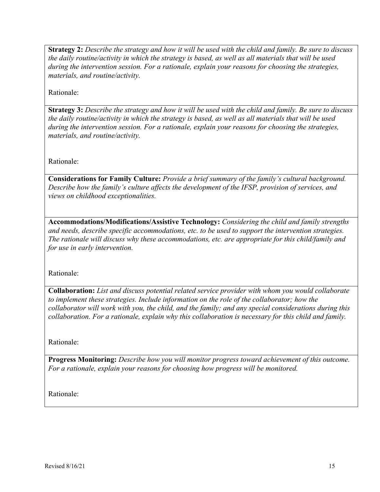**Strategy 2:** *Describe the strategy and how it will be used with the child and family. Be sure to discuss the daily routine/activity in which the strategy is based, as well as all materials that will be used during the intervention session. For a rationale, explain your reasons for choosing the strategies, materials, and routine/activity.*

Rationale:

**Strategy 3:** *Describe the strategy and how it will be used with the child and family. Be sure to discuss the daily routine/activity in which the strategy is based, as well as all materials that will be used during the intervention session. For a rationale, explain your reasons for choosing the strategies, materials, and routine/activity.*

Rationale:

**Considerations for Family Culture:** *Provide a brief summary of the family's cultural background. Describe how the family's culture affects the development of the IFSP, provision of services, and views on childhood exceptionalities.*

**Accommodations/Modifications/Assistive Technology:** *Considering the child and family strengths and needs, describe specific accommodations, etc. to be used to support the intervention strategies. The rationale will discuss why these accommodations, etc. are appropriate for this child/family and for use in early intervention.*

Rationale:

**Collaboration:** *List and discuss potential related service provider with whom you would collaborate to implement these strategies. Include information on the role of the collaborator; how the collaborator will work with you, the child, and the family; and any special considerations during this collaboration. For a rationale, explain why this collaboration is necessary for this child and family.*

Rationale:

**Progress Monitoring:** *Describe how you will monitor progress toward achievement of this outcome. For a rationale, explain your reasons for choosing how progress will be monitored.*

Rationale: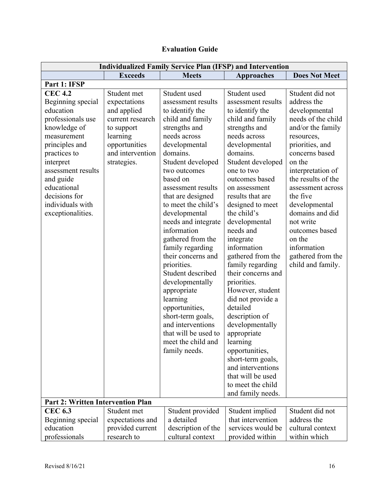| <b>Evaluation Guide</b> |  |
|-------------------------|--|
|-------------------------|--|

| <b>Individualized Family Service Plan (IFSP) and Intervention</b>                                                                                                                                                                                                                                           |                                                                                                                                              |                                                                                                                                                                                                                                                                                                                                                                                                                                                                                                                                                                                               |                                                                                                                                                                                                                                                                                                                                                                                                                                                                                                                                                                                                                                                              |                                                                                                                                                                                                                                                                                                                                                                           |
|-------------------------------------------------------------------------------------------------------------------------------------------------------------------------------------------------------------------------------------------------------------------------------------------------------------|----------------------------------------------------------------------------------------------------------------------------------------------|-----------------------------------------------------------------------------------------------------------------------------------------------------------------------------------------------------------------------------------------------------------------------------------------------------------------------------------------------------------------------------------------------------------------------------------------------------------------------------------------------------------------------------------------------------------------------------------------------|--------------------------------------------------------------------------------------------------------------------------------------------------------------------------------------------------------------------------------------------------------------------------------------------------------------------------------------------------------------------------------------------------------------------------------------------------------------------------------------------------------------------------------------------------------------------------------------------------------------------------------------------------------------|---------------------------------------------------------------------------------------------------------------------------------------------------------------------------------------------------------------------------------------------------------------------------------------------------------------------------------------------------------------------------|
|                                                                                                                                                                                                                                                                                                             | <b>Exceeds</b>                                                                                                                               | <b>Meets</b>                                                                                                                                                                                                                                                                                                                                                                                                                                                                                                                                                                                  | <b>Approaches</b>                                                                                                                                                                                                                                                                                                                                                                                                                                                                                                                                                                                                                                            | <b>Does Not Meet</b>                                                                                                                                                                                                                                                                                                                                                      |
| Part 1: IFSP                                                                                                                                                                                                                                                                                                |                                                                                                                                              |                                                                                                                                                                                                                                                                                                                                                                                                                                                                                                                                                                                               |                                                                                                                                                                                                                                                                                                                                                                                                                                                                                                                                                                                                                                                              |                                                                                                                                                                                                                                                                                                                                                                           |
| <b>CEC 4.2</b><br>Beginning special<br>education<br>professionals use<br>knowledge of<br>measurement<br>principles and<br>practices to<br>interpret<br>assessment results<br>and guide<br>educational<br>decisions for<br>individuals with<br>exceptionalities.<br><b>Part 2: Written Intervention Plan</b> | Student met<br>expectations<br>and applied<br>current research<br>to support<br>learning<br>opportunities<br>and intervention<br>strategies. | Student used<br>assessment results<br>to identify the<br>child and family<br>strengths and<br>needs across<br>developmental<br>domains.<br>Student developed<br>two outcomes<br>based on<br>assessment results<br>that are designed<br>to meet the child's<br>developmental<br>needs and integrate<br>information<br>gathered from the<br>family regarding<br>their concerns and<br>priorities.<br>Student described<br>developmentally<br>appropriate<br>learning<br>opportunities,<br>short-term goals,<br>and interventions<br>that will be used to<br>meet the child and<br>family needs. | Student used<br>assessment results<br>to identify the<br>child and family<br>strengths and<br>needs across<br>developmental<br>domains.<br>Student developed<br>one to two<br>outcomes based<br>on assessment<br>results that are<br>designed to meet<br>the child's<br>developmental<br>needs and<br>integrate<br>information<br>gathered from the<br>family regarding<br>their concerns and<br>priorities.<br>However, student<br>did not provide a<br>detailed<br>description of<br>developmentally<br>appropriate<br>learning<br>opportunities,<br>short-term goals,<br>and interventions<br>that will be used<br>to meet the child<br>and family needs. | Student did not<br>address the<br>developmental<br>needs of the child<br>and/or the family<br>resources,<br>priorities, and<br>concerns based<br>on the<br>interpretation of<br>the results of the<br>assessment across<br>the five<br>developmental<br>domains and did<br>not write<br>outcomes based<br>on the<br>information<br>gathered from the<br>child and family. |
| <b>CEC 6.3</b>                                                                                                                                                                                                                                                                                              | Student met                                                                                                                                  | Student provided                                                                                                                                                                                                                                                                                                                                                                                                                                                                                                                                                                              | Student implied                                                                                                                                                                                                                                                                                                                                                                                                                                                                                                                                                                                                                                              | Student did not                                                                                                                                                                                                                                                                                                                                                           |
| Beginning special                                                                                                                                                                                                                                                                                           | expectations and                                                                                                                             | a detailed                                                                                                                                                                                                                                                                                                                                                                                                                                                                                                                                                                                    | that intervention                                                                                                                                                                                                                                                                                                                                                                                                                                                                                                                                                                                                                                            | address the                                                                                                                                                                                                                                                                                                                                                               |
| education                                                                                                                                                                                                                                                                                                   | provided current                                                                                                                             | description of the                                                                                                                                                                                                                                                                                                                                                                                                                                                                                                                                                                            | services would be                                                                                                                                                                                                                                                                                                                                                                                                                                                                                                                                                                                                                                            | cultural context                                                                                                                                                                                                                                                                                                                                                          |
| professionals                                                                                                                                                                                                                                                                                               | research to                                                                                                                                  | cultural context                                                                                                                                                                                                                                                                                                                                                                                                                                                                                                                                                                              | provided within                                                                                                                                                                                                                                                                                                                                                                                                                                                                                                                                                                                                                                              | within which                                                                                                                                                                                                                                                                                                                                                              |